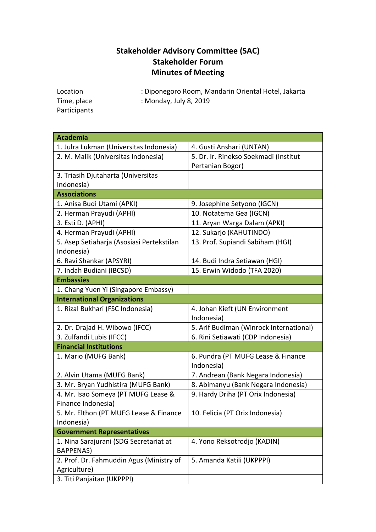# **Stakeholder Advisory Committee (SAC) Stakeholder Forum Minutes of Meeting**

| Location    | : Diponegoro Room, Mandarin Oriental Hotel, Jakarta |
|-------------|-----------------------------------------------------|
| Time, place | : Monday, July 8, 2019                              |

Participants

| <b>Academia</b>                           |                                         |
|-------------------------------------------|-----------------------------------------|
| 1. Julra Lukman (Universitas Indonesia)   | 4. Gusti Anshari (UNTAN)                |
| 2. M. Malik (Universitas Indonesia)       | 5. Dr. Ir. Rinekso Soekmadi (Institut   |
|                                           | Pertanian Bogor)                        |
| 3. Triasih Djutaharta (Universitas        |                                         |
| Indonesia)                                |                                         |
| <b>Associations</b>                       |                                         |
| 1. Anisa Budi Utami (APKI)                | 9. Josephine Setyono (IGCN)             |
| 2. Herman Prayudi (APHI)                  | 10. Notatema Gea (IGCN)                 |
| 3. Esti D. (APHI)                         | 11. Aryan Warga Dalam (APKI)            |
| 4. Herman Prayudi (APHI)                  | 12. Sukarjo (KAHUTINDO)                 |
| 5. Asep Setiaharja (Asosiasi Pertekstilan | 13. Prof. Supiandi Sabiham (HGI)        |
| Indonesia)                                |                                         |
| 6. Ravi Shankar (APSYRI)                  | 14. Budi Indra Setiawan (HGI)           |
| 7. Indah Budiani (IBCSD)                  | 15. Erwin Widodo (TFA 2020)             |
| <b>Embassies</b>                          |                                         |
| 1. Chang Yuen Yi (Singapore Embassy)      |                                         |
| <b>International Organizations</b>        |                                         |
| 1. Rizal Bukhari (FSC Indonesia)          | 4. Johan Kieft (UN Environment          |
|                                           | Indonesia)                              |
| 2. Dr. Drajad H. Wibowo (IFCC)            | 5. Arif Budiman (Winrock International) |
| 3. Zulfandi Lubis (IFCC)                  | 6. Rini Setiawati (CDP Indonesia)       |
| <b>Financial Institutions</b>             |                                         |
| 1. Mario (MUFG Bank)                      | 6. Pundra (PT MUFG Lease & Finance      |
|                                           | Indonesia)                              |
| 2. Alvin Utama (MUFG Bank)                | 7. Andrean (Bank Negara Indonesia)      |
| 3. Mr. Bryan Yudhistira (MUFG Bank)       | 8. Abimanyu (Bank Negara Indonesia)     |
| 4. Mr. Isao Someya (PT MUFG Lease &       | 9. Hardy Driha (PT Orix Indonesia)      |
| Finance Indonesia)                        |                                         |
| 5. Mr. Elthon (PT MUFG Lease & Finance    | 10. Felicia (PT Orix Indonesia)         |
| Indonesia)                                |                                         |
| <b>Government Representatives</b>         |                                         |
| 1. Nina Sarajurani (SDG Secretariat at    | 4. Yono Reksotrodjo (KADIN)             |
| <b>BAPPENAS)</b>                          |                                         |
| 2. Prof. Dr. Fahmuddin Agus (Ministry of  | 5. Amanda Katili (UKPPPI)               |
| Agriculture)                              |                                         |
| 3. Titi Panjaitan (UKPPPI)                |                                         |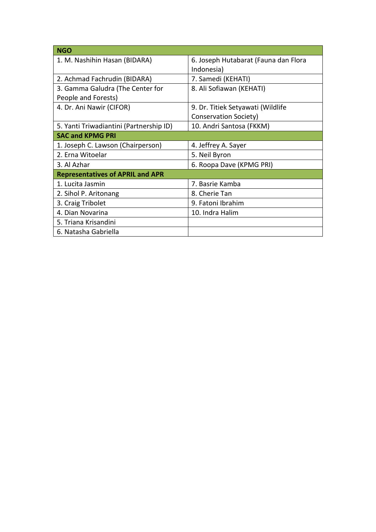| <b>NGO</b>                              |                                      |
|-----------------------------------------|--------------------------------------|
| 1. M. Nashihin Hasan (BIDARA)           | 6. Joseph Hutabarat (Fauna dan Flora |
|                                         | Indonesia)                           |
| 2. Achmad Fachrudin (BIDARA)            | 7. Samedi (KEHATI)                   |
| 3. Gamma Galudra (The Center for        | 8. Ali Sofiawan (KEHATI)             |
| People and Forests)                     |                                      |
| 4. Dr. Ani Nawir (CIFOR)                | 9. Dr. Titiek Setyawati (Wildlife    |
|                                         | Conservation Society)                |
| 5. Yanti Triwadiantini (Partnership ID) | 10. Andri Santosa (FKKM)             |
| <b>SAC and KPMG PRI</b>                 |                                      |
| 1. Joseph C. Lawson (Chairperson)       | 4. Jeffrey A. Sayer                  |
| 2. Erna Witoelar                        | 5. Neil Byron                        |
| 3. Al Azhar                             | 6. Roopa Dave (KPMG PRI)             |
| <b>Representatives of APRIL and APR</b> |                                      |
| 1. Lucita Jasmin                        | 7. Basrie Kamba                      |
| 2. Sihol P. Aritonang                   | 8. Cherie Tan                        |
| 3. Craig Tribolet                       | 9. Fatoni Ibrahim                    |
| 4. Dian Novarina                        | 10. Indra Halim                      |
| 5. Triana Krisandini                    |                                      |
| 6. Natasha Gabriella                    |                                      |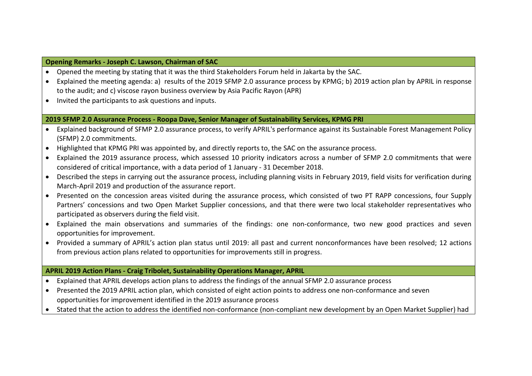#### **Opening Remarks - Joseph C. Lawson, Chairman of SAC**

- Opened the meeting by stating that it was the third Stakeholders Forum held in Jakarta by the SAC.
- Explained the meeting agenda: a) results of the 2019 SFMP 2.0 assurance process by KPMG; b) 2019 action plan by APRIL in response to the audit; and c) viscose rayon business overview by Asia Pacific Rayon (APR)
- Invited the participants to ask questions and inputs.

### **2019 SFMP 2.0 Assurance Process - Roopa Dave, Senior Manager of Sustainability Services, KPMG PRI**

- Explained background of SFMP 2.0 assurance process, to verify APRIL's performance against its Sustainable Forest Management Policy (SFMP) 2.0 commitments.
- Highlighted that KPMG PRI was appointed by, and directly reports to, the SAC on the assurance process.
- Explained the 2019 assurance process, which assessed 10 priority indicators across a number of SFMP 2.0 commitments that were considered of critical importance, with a data period of 1 January - 31 December 2018.
- Described the steps in carrying out the assurance process, including planning visits in February 2019, field visits for verification during March-April 2019 and production of the assurance report.
- Presented on the concession areas visited during the assurance process, which consisted of two PT RAPP concessions, four Supply Partners' concessions and two Open Market Supplier concessions, and that there were two local stakeholder representatives who participated as observers during the field visit.
- Explained the main observations and summaries of the findings: one non-conformance, two new good practices and seven opportunities for improvement.
- Provided a summary of APRIL's action plan status until 2019: all past and current nonconformances have been resolved; 12 actions from previous action plans related to opportunities for improvements still in progress.

### **APRIL 2019 Action Plans - Craig Tribolet, Sustainability Operations Manager, APRIL**

- Explained that APRIL develops action plans to address the findings of the annual SFMP 2.0 assurance process
- Presented the 2019 APRIL action plan, which consisted of eight action points to address one non-conformance and seven opportunities for improvement identified in the 2019 assurance process
- Stated that the action to address the identified non-conformance (non-compliant new development by an Open Market Supplier) had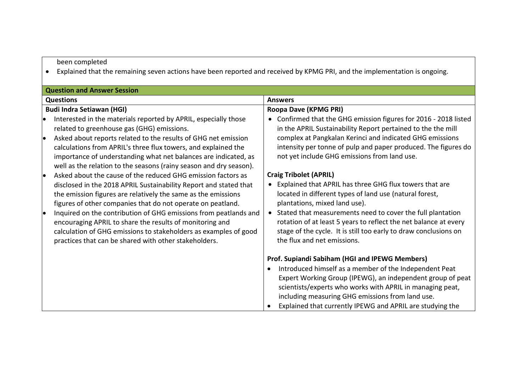## been completed

Explained that the remaining seven actions have been reported and received by KPMG PRI, and the implementation is ongoing.

| <b>Question and Answer Session</b>                                                                                                                                                                                                                                                                                                                                                                                                                             |                                                                                                                                                                                                                                                                                                                                                                                                                    |
|----------------------------------------------------------------------------------------------------------------------------------------------------------------------------------------------------------------------------------------------------------------------------------------------------------------------------------------------------------------------------------------------------------------------------------------------------------------|--------------------------------------------------------------------------------------------------------------------------------------------------------------------------------------------------------------------------------------------------------------------------------------------------------------------------------------------------------------------------------------------------------------------|
| <b>Questions</b>                                                                                                                                                                                                                                                                                                                                                                                                                                               | <b>Answers</b>                                                                                                                                                                                                                                                                                                                                                                                                     |
| <b>Budi Indra Setiawan (HGI)</b>                                                                                                                                                                                                                                                                                                                                                                                                                               | <b>Roopa Dave (KPMG PRI)</b>                                                                                                                                                                                                                                                                                                                                                                                       |
| Interested in the materials reported by APRIL, especially those<br>related to greenhouse gas (GHG) emissions.                                                                                                                                                                                                                                                                                                                                                  | Confirmed that the GHG emission figures for 2016 - 2018 listed<br>$\bullet$<br>in the APRIL Sustainability Report pertained to the the mill                                                                                                                                                                                                                                                                        |
| Asked about reports related to the results of GHG net emission<br>calculations from APRIL's three flux towers, and explained the<br>importance of understanding what net balances are indicated, as<br>well as the relation to the seasons (rainy season and dry season).                                                                                                                                                                                      | complex at Pangkalan Kerinci and indicated GHG emissions<br>intensity per tonne of pulp and paper produced. The figures do<br>not yet include GHG emissions from land use.                                                                                                                                                                                                                                         |
| Asked about the cause of the reduced GHG emission factors as                                                                                                                                                                                                                                                                                                                                                                                                   | <b>Craig Tribolet (APRIL)</b>                                                                                                                                                                                                                                                                                                                                                                                      |
| disclosed in the 2018 APRIL Sustainability Report and stated that<br>the emission figures are relatively the same as the emissions<br>figures of other companies that do not operate on peatland.<br>Inquired on the contribution of GHG emissions from peatlands and<br>encouraging APRIL to share the results of monitoring and<br>calculation of GHG emissions to stakeholders as examples of good<br>practices that can be shared with other stakeholders. | Explained that APRIL has three GHG flux towers that are<br>$\bullet$<br>located in different types of land use (natural forest,<br>plantations, mixed land use).<br>Stated that measurements need to cover the full plantation<br>$\bullet$<br>rotation of at least 5 years to reflect the net balance at every<br>stage of the cycle. It is still too early to draw conclusions on<br>the flux and net emissions. |
|                                                                                                                                                                                                                                                                                                                                                                                                                                                                | Prof. Supiandi Sabiham (HGI and IPEWG Members)<br>Introduced himself as a member of the Independent Peat<br>Expert Working Group (IPEWG), an independent group of peat<br>scientists/experts who works with APRIL in managing peat,<br>including measuring GHG emissions from land use.<br>Explained that currently IPEWG and APRIL are studying the                                                               |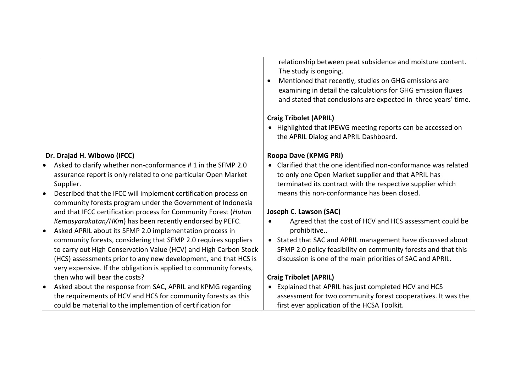|                                                                    | relationship between peat subsidence and moisture content.<br>The study is ongoing.<br>Mentioned that recently, studies on GHG emissions are<br>examining in detail the calculations for GHG emission fluxes<br>and stated that conclusions are expected in three years' time.<br><b>Craig Tribolet (APRIL)</b><br>Highlighted that IPEWG meeting reports can be accessed on<br>$\bullet$<br>the APRIL Dialog and APRIL Dashboard. |
|--------------------------------------------------------------------|------------------------------------------------------------------------------------------------------------------------------------------------------------------------------------------------------------------------------------------------------------------------------------------------------------------------------------------------------------------------------------------------------------------------------------|
| Dr. Drajad H. Wibowo (IFCC)                                        | Roopa Dave (KPMG PRI)                                                                                                                                                                                                                                                                                                                                                                                                              |
| Asked to clarify whether non-conformance #1 in the SFMP 2.0        | Clarified that the one identified non-conformance was related<br>$\bullet$                                                                                                                                                                                                                                                                                                                                                         |
| assurance report is only related to one particular Open Market     | to only one Open Market supplier and that APRIL has                                                                                                                                                                                                                                                                                                                                                                                |
| Supplier.                                                          | terminated its contract with the respective supplier which                                                                                                                                                                                                                                                                                                                                                                         |
| Described that the IFCC will implement certification process on    | means this non-conformance has been closed.                                                                                                                                                                                                                                                                                                                                                                                        |
| community forests program under the Government of Indonesia        |                                                                                                                                                                                                                                                                                                                                                                                                                                    |
| and that IFCC certification process for Community Forest (Hutan    | Joseph C. Lawson (SAC)                                                                                                                                                                                                                                                                                                                                                                                                             |
| Kemasyarakatan/HKm) has been recently endorsed by PEFC.            | Agreed that the cost of HCV and HCS assessment could be<br>$\bullet$                                                                                                                                                                                                                                                                                                                                                               |
| Asked APRIL about its SFMP 2.0 implementation process in           | prohibitive                                                                                                                                                                                                                                                                                                                                                                                                                        |
| community forests, considering that SFMP 2.0 requires suppliers    | • Stated that SAC and APRIL management have discussed about                                                                                                                                                                                                                                                                                                                                                                        |
| to carry out High Conservation Value (HCV) and High Carbon Stock   | SFMP 2.0 policy feasibility on community forests and that this                                                                                                                                                                                                                                                                                                                                                                     |
| (HCS) assessments prior to any new development, and that HCS is    | discussion is one of the main priorities of SAC and APRIL.                                                                                                                                                                                                                                                                                                                                                                         |
| very expensive. If the obligation is applied to community forests, |                                                                                                                                                                                                                                                                                                                                                                                                                                    |
| then who will bear the costs?                                      | <b>Craig Tribolet (APRIL)</b>                                                                                                                                                                                                                                                                                                                                                                                                      |
| Asked about the response from SAC, APRIL and KPMG regarding        | Explained that APRIL has just completed HCV and HCS<br>$\bullet$                                                                                                                                                                                                                                                                                                                                                                   |
| the requirements of HCV and HCS for community forests as this      | assessment for two community forest cooperatives. It was the                                                                                                                                                                                                                                                                                                                                                                       |
| could be material to the implemention of certification for         | first ever application of the HCSA Toolkit.                                                                                                                                                                                                                                                                                                                                                                                        |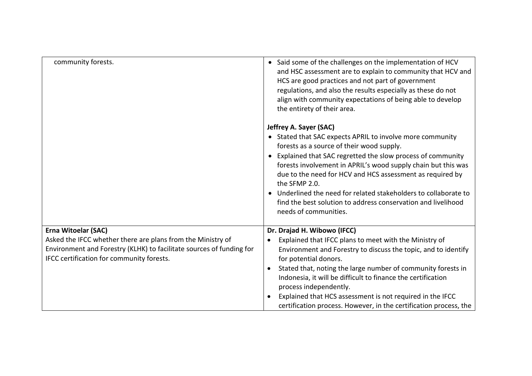| community forests.                                                                                                                                                               | • Said some of the challenges on the implementation of HCV<br>and HSC assessment are to explain to community that HCV and<br>HCS are good practices and not part of government<br>regulations, and also the results especially as these do not<br>align with community expectations of being able to develop<br>the entirety of their area.<br>Jeffrey A. Sayer (SAC)<br>• Stated that SAC expects APRIL to involve more community<br>forests as a source of their wood supply.<br>Explained that SAC regretted the slow process of community<br>forests involvement in APRIL's wood supply chain but this was<br>due to the need for HCV and HCS assessment as required by<br>the SFMP 2.0.<br>Underlined the need for related stakeholders to collaborate to<br>find the best solution to address conservation and livelihood<br>needs of communities. |
|----------------------------------------------------------------------------------------------------------------------------------------------------------------------------------|----------------------------------------------------------------------------------------------------------------------------------------------------------------------------------------------------------------------------------------------------------------------------------------------------------------------------------------------------------------------------------------------------------------------------------------------------------------------------------------------------------------------------------------------------------------------------------------------------------------------------------------------------------------------------------------------------------------------------------------------------------------------------------------------------------------------------------------------------------|
| Erna Witoelar (SAC)                                                                                                                                                              | Dr. Drajad H. Wibowo (IFCC)                                                                                                                                                                                                                                                                                                                                                                                                                                                                                                                                                                                                                                                                                                                                                                                                                              |
| Asked the IFCC whether there are plans from the Ministry of<br>Environment and Forestry (KLHK) to facilitate sources of funding for<br>IFCC certification for community forests. | Explained that IFCC plans to meet with the Ministry of<br>Environment and Forestry to discuss the topic, and to identify<br>for potential donors.<br>Stated that, noting the large number of community forests in<br>Indonesia, it will be difficult to finance the certification<br>process independently.<br>Explained that HCS assessment is not required in the IFCC<br>certification process. However, in the certification process, the                                                                                                                                                                                                                                                                                                                                                                                                            |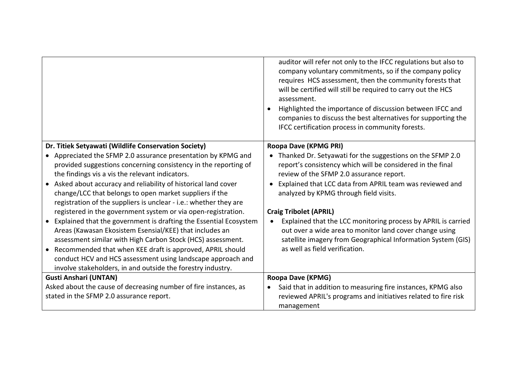|                                                                                                                                                                                                                                                                                                                                                                                                                                                                                                                                                                                                                                                                                                                                                                                                                                                       | auditor will refer not only to the IFCC regulations but also to<br>company voluntary commitments, so if the company policy<br>requires HCS assessment, then the community forests that<br>will be certified will still be required to carry out the HCS<br>assessment.<br>Highlighted the importance of discussion between IFCC and<br>companies to discuss the best alternatives for supporting the<br>IFCC certification process in community forests.                                                                                 |
|-------------------------------------------------------------------------------------------------------------------------------------------------------------------------------------------------------------------------------------------------------------------------------------------------------------------------------------------------------------------------------------------------------------------------------------------------------------------------------------------------------------------------------------------------------------------------------------------------------------------------------------------------------------------------------------------------------------------------------------------------------------------------------------------------------------------------------------------------------|------------------------------------------------------------------------------------------------------------------------------------------------------------------------------------------------------------------------------------------------------------------------------------------------------------------------------------------------------------------------------------------------------------------------------------------------------------------------------------------------------------------------------------------|
| Dr. Titiek Setyawati (Wildlife Conservation Society)                                                                                                                                                                                                                                                                                                                                                                                                                                                                                                                                                                                                                                                                                                                                                                                                  | Roopa Dave (KPMG PRI)                                                                                                                                                                                                                                                                                                                                                                                                                                                                                                                    |
| • Appreciated the SFMP 2.0 assurance presentation by KPMG and<br>provided suggestions concerning consistency in the reporting of<br>the findings vis a vis the relevant indicators.<br>• Asked about accuracy and reliability of historical land cover<br>change/LCC that belongs to open market suppliers if the<br>registration of the suppliers is unclear - i.e.: whether they are<br>registered in the government system or via open-registration.<br>• Explained that the government is drafting the Essential Ecosystem<br>Areas (Kawasan Ekosistem Esensial/KEE) that includes an<br>assessment similar with High Carbon Stock (HCS) assessment.<br>• Recommended that when KEE draft is approved, APRIL should<br>conduct HCV and HCS assessment using landscape approach and<br>involve stakeholders, in and outside the forestry industry. | Thanked Dr. Setyawati for the suggestions on the SFMP 2.0<br>report's consistency which will be considered in the final<br>review of the SFMP 2.0 assurance report.<br>Explained that LCC data from APRIL team was reviewed and<br>analyzed by KPMG through field visits.<br><b>Craig Tribolet (APRIL)</b><br>Explained that the LCC monitoring process by APRIL is carried<br>out over a wide area to monitor land cover change using<br>satellite imagery from Geographical Information System (GIS)<br>as well as field verification. |
| <b>Gusti Anshari (UNTAN)</b>                                                                                                                                                                                                                                                                                                                                                                                                                                                                                                                                                                                                                                                                                                                                                                                                                          | Roopa Dave (KPMG)                                                                                                                                                                                                                                                                                                                                                                                                                                                                                                                        |
| Asked about the cause of decreasing number of fire instances, as                                                                                                                                                                                                                                                                                                                                                                                                                                                                                                                                                                                                                                                                                                                                                                                      | Said that in addition to measuring fire instances, KPMG also<br>$\bullet$                                                                                                                                                                                                                                                                                                                                                                                                                                                                |
| stated in the SFMP 2.0 assurance report.                                                                                                                                                                                                                                                                                                                                                                                                                                                                                                                                                                                                                                                                                                                                                                                                              | reviewed APRIL's programs and initiatives related to fire risk<br>management                                                                                                                                                                                                                                                                                                                                                                                                                                                             |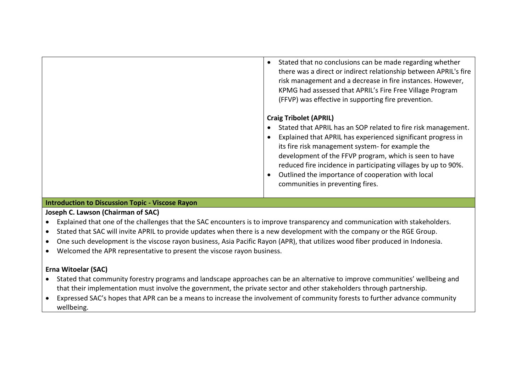| Stated that no conclusions can be made regarding whether<br>there was a direct or indirect relationship between APRIL's fire<br>risk management and a decrease in fire instances. However,<br>KPMG had assessed that APRIL's Fire Free Village Program<br>(FFVP) was effective in supporting fire prevention.                                                                                                                           |
|-----------------------------------------------------------------------------------------------------------------------------------------------------------------------------------------------------------------------------------------------------------------------------------------------------------------------------------------------------------------------------------------------------------------------------------------|
| <b>Craig Tribolet (APRIL)</b><br>Stated that APRIL has an SOP related to fire risk management.<br>Explained that APRIL has experienced significant progress in<br>its fire risk management system- for example the<br>development of the FFVP program, which is seen to have<br>reduced fire incidence in participating villages by up to 90%.<br>Outlined the importance of cooperation with local<br>communities in preventing fires. |

### **Introduction to Discussion Topic - Viscose Rayon**

### **Joseph C. Lawson (Chairman of SAC)**

- Explained that one of the challenges that the SAC encounters is to improve transparency and communication with stakeholders.
- Stated that SAC will invite APRIL to provide updates when there is a new development with the company or the RGE Group.
- One such development is the viscose rayon business, Asia Pacific Rayon (APR), that utilizes wood fiber produced in Indonesia.
- Welcomed the APR representative to present the viscose rayon business.

## **Erna Witoelar (SAC)**

- Stated that community forestry programs and landscape approaches can be an alternative to improve communities' wellbeing and that their implementation must involve the government, the private sector and other stakeholders through partnership.
- Expressed SAC's hopes that APR can be a means to increase the involvement of community forests to further advance community wellbeing.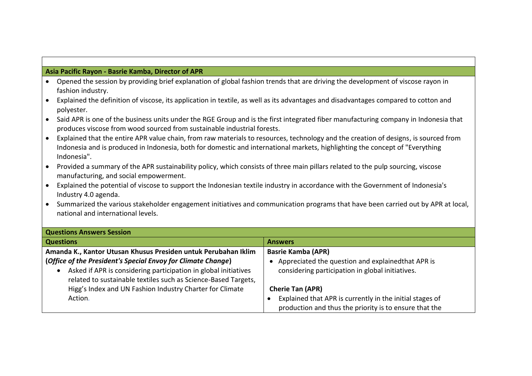### **Asia Pacific Rayon - Basrie Kamba, Director of APR**

- Opened the session by providing brief explanation of global fashion trends that are driving the development of viscose rayon in fashion industry.
- Explained the definition of viscose, its application in textile, as well as its advantages and disadvantages compared to cotton and polyester.
- Said APR is one of the business units under the RGE Group and is the first integrated fiber manufacturing company in Indonesia that produces viscose from wood sourced from sustainable industrial forests.
- Explained that the entire APR value chain, from raw materials to resources, technology and the creation of designs, is sourced from Indonesia and is produced in Indonesia, both for domestic and international markets, highlighting the concept of "Everything Indonesia".
- Provided a summary of the APR sustainability policy, which consists of three main pillars related to the pulp sourcing, viscose manufacturing, and social empowerment.
- Explained the potential of viscose to support the Indonesian textile industry in accordance with the Government of Indonesia's Industry 4.0 agenda.
- Summarized the various stakeholder engagement initiatives and communication programs that have been carried out by APR at local, national and international levels.

| <b>Questions Answers Session</b>                                                                                                                                                                  |                                                                                                        |
|---------------------------------------------------------------------------------------------------------------------------------------------------------------------------------------------------|--------------------------------------------------------------------------------------------------------|
| <b>Questions</b>                                                                                                                                                                                  | <b>Answers</b>                                                                                         |
| Amanda K., Kantor Utusan Khusus Presiden untuk Perubahan Iklim                                                                                                                                    | <b>Basrie Kamba (APR)</b>                                                                              |
| (Office of the President's Special Envoy for Climate Change)<br>Asked if APR is considering participation in global initiatives<br>related to sustainable textiles such as Science-Based Targets, | Appreciated the question and explained that APR is<br>considering participation in global initiatives. |
| Higg's Index and UN Fashion Industry Charter for Climate<br>Action.                                                                                                                               | <b>Cherie Tan (APR)</b><br>Explained that APR is currently in the initial stages of                    |
|                                                                                                                                                                                                   | production and thus the priority is to ensure that the                                                 |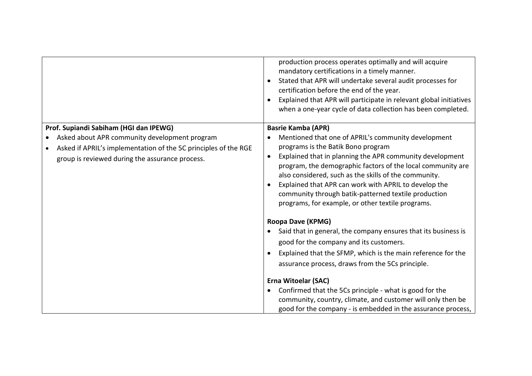|                                                                                                                                                                                                               | production process operates optimally and will acquire<br>mandatory certifications in a timely manner.<br>Stated that APR will undertake several audit processes for<br>certification before the end of the year.<br>Explained that APR will participate in relevant global initiatives<br>when a one-year cycle of data collection has been completed.                                                                                                                                       |
|---------------------------------------------------------------------------------------------------------------------------------------------------------------------------------------------------------------|-----------------------------------------------------------------------------------------------------------------------------------------------------------------------------------------------------------------------------------------------------------------------------------------------------------------------------------------------------------------------------------------------------------------------------------------------------------------------------------------------|
| Prof. Supiandi Sabiham (HGI dan IPEWG)<br>Asked about APR community development program<br>Asked if APRIL's implementation of the 5C principles of the RGE<br>group is reviewed during the assurance process. | <b>Basrie Kamba (APR)</b><br>Mentioned that one of APRIL's community development<br>programs is the Batik Bono program<br>Explained that in planning the APR community development<br>$\bullet$<br>program, the demographic factors of the local community are<br>also considered, such as the skills of the community.<br>Explained that APR can work with APRIL to develop the<br>community through batik-patterned textile production<br>programs, for example, or other textile programs. |
|                                                                                                                                                                                                               | <b>Roopa Dave (KPMG)</b><br>Said that in general, the company ensures that its business is<br>good for the company and its customers.<br>Explained that the SFMP, which is the main reference for the<br>assurance process, draws from the 5Cs principle.<br>Erna Witoelar (SAC)<br>Confirmed that the 5Cs principle - what is good for the<br>$\bullet$<br>community, country, climate, and customer will only then be<br>good for the company - is embedded in the assurance process,       |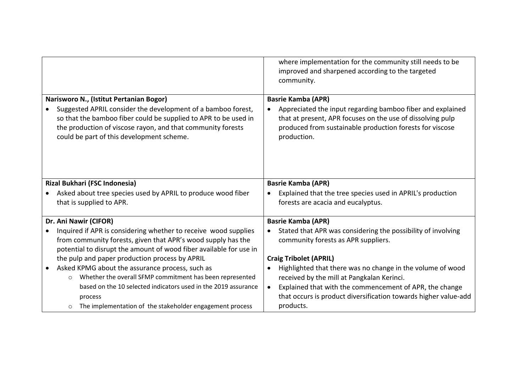|                                                                                                         | where implementation for the community still needs to be<br>improved and sharpened according to the targeted<br>community. |
|---------------------------------------------------------------------------------------------------------|----------------------------------------------------------------------------------------------------------------------------|
| Narisworo N., (Istitut Pertanian Bogor)<br>Suggested APRIL consider the development of a bamboo forest, | <b>Basrie Kamba (APR)</b><br>Appreciated the input regarding bamboo fiber and explained<br>$\bullet$                       |
| so that the bamboo fiber could be supplied to APR to be used in                                         | that at present, APR focuses on the use of dissolving pulp                                                                 |
| the production of viscose rayon, and that community forests                                             | produced from sustainable production forests for viscose                                                                   |
| could be part of this development scheme.                                                               | production.                                                                                                                |
|                                                                                                         |                                                                                                                            |
|                                                                                                         |                                                                                                                            |
| Rizal Bukhari (FSC Indonesia)                                                                           | <b>Basrie Kamba (APR)</b>                                                                                                  |
| Asked about tree species used by APRIL to produce wood fiber                                            | Explained that the tree species used in APRIL's production<br>$\bullet$                                                    |
| that is supplied to APR.                                                                                | forests are acacia and eucalyptus.                                                                                         |
| Dr. Ani Nawir (CIFOR)                                                                                   | <b>Basrie Kamba (APR)</b>                                                                                                  |
| Inquired if APR is considering whether to receive wood supplies                                         | Stated that APR was considering the possibility of involving                                                               |
| from community forests, given that APR's wood supply has the                                            | community forests as APR suppliers.                                                                                        |
| potential to disrupt the amount of wood fiber available for use in                                      |                                                                                                                            |
| the pulp and paper production process by APRIL                                                          | <b>Craig Tribolet (APRIL)</b>                                                                                              |
| Asked KPMG about the assurance process, such as                                                         | Highlighted that there was no change in the volume of wood                                                                 |
| Whether the overall SFMP commitment has been represented<br>$\circ$                                     | received by the mill at Pangkalan Kerinci.                                                                                 |
| based on the 10 selected indicators used in the 2019 assurance                                          | Explained that with the commencement of APR, the change                                                                    |
| process                                                                                                 | that occurs is product diversification towards higher value-add                                                            |
| The implementation of the stakeholder engagement process                                                | products.                                                                                                                  |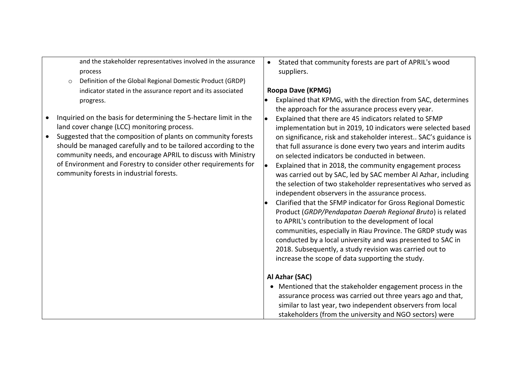| and the stakeholder representatives involved in the assurance<br>process<br>Definition of the Global Regional Domestic Product (GRDP)<br>$\circ$                                                                                                                                                                                                                                                                                                                                                                                          | Stated that community forests are part of APRIL's wood<br>$\bullet$<br>suppliers.                                                                                                                                                                                                                                                                                                                                                                                                                                                                                                                                                                                                                                                                                                                                                                                                                                                                                                                                                                                                                                                                             |
|-------------------------------------------------------------------------------------------------------------------------------------------------------------------------------------------------------------------------------------------------------------------------------------------------------------------------------------------------------------------------------------------------------------------------------------------------------------------------------------------------------------------------------------------|---------------------------------------------------------------------------------------------------------------------------------------------------------------------------------------------------------------------------------------------------------------------------------------------------------------------------------------------------------------------------------------------------------------------------------------------------------------------------------------------------------------------------------------------------------------------------------------------------------------------------------------------------------------------------------------------------------------------------------------------------------------------------------------------------------------------------------------------------------------------------------------------------------------------------------------------------------------------------------------------------------------------------------------------------------------------------------------------------------------------------------------------------------------|
| indicator stated in the assurance report and its associated<br>progress.<br>Inquiried on the basis for determining the 5-hectare limit in the<br>$\bullet$<br>land cover change (LCC) monitoring process.<br>Suggested that the composition of plants on community forests<br>$\bullet$<br>should be managed carefully and to be tailored according to the<br>community needs, and encourage APRIL to discuss with Ministry<br>of Environment and Forestry to consider other requirements for<br>community forests in industrial forests. | Roopa Dave (KPMG)<br>Explained that KPMG, with the direction from SAC, determines<br>the approach for the assurance process every year.<br>Explained that there are 45 indicators related to SFMP<br>lo<br>implementation but in 2019, 10 indicators were selected based<br>on significance, risk and stakeholder interest SAC's guidance is<br>that full assurance is done every two years and interim audits<br>on selected indicators be conducted in between.<br>Explained that in 2018, the community engagement process<br>le<br>was carried out by SAC, led by SAC member Al Azhar, including<br>the selection of two stakeholder representatives who served as<br>independent observers in the assurance process.<br>Clarified that the SFMP indicator for Gross Regional Domestic<br>Product (GRDP/Pendapatan Daerah Regional Bruto) is related<br>to APRIL's contribution to the development of local<br>communities, especially in Riau Province. The GRDP study was<br>conducted by a local university and was presented to SAC in<br>2018. Subsequently, a study revision was carried out to<br>increase the scope of data supporting the study. |
|                                                                                                                                                                                                                                                                                                                                                                                                                                                                                                                                           | Al Azhar (SAC)<br>• Mentioned that the stakeholder engagement process in the<br>assurance process was carried out three years ago and that,<br>similar to last year, two independent observers from local<br>stakeholders (from the university and NGO sectors) were                                                                                                                                                                                                                                                                                                                                                                                                                                                                                                                                                                                                                                                                                                                                                                                                                                                                                          |